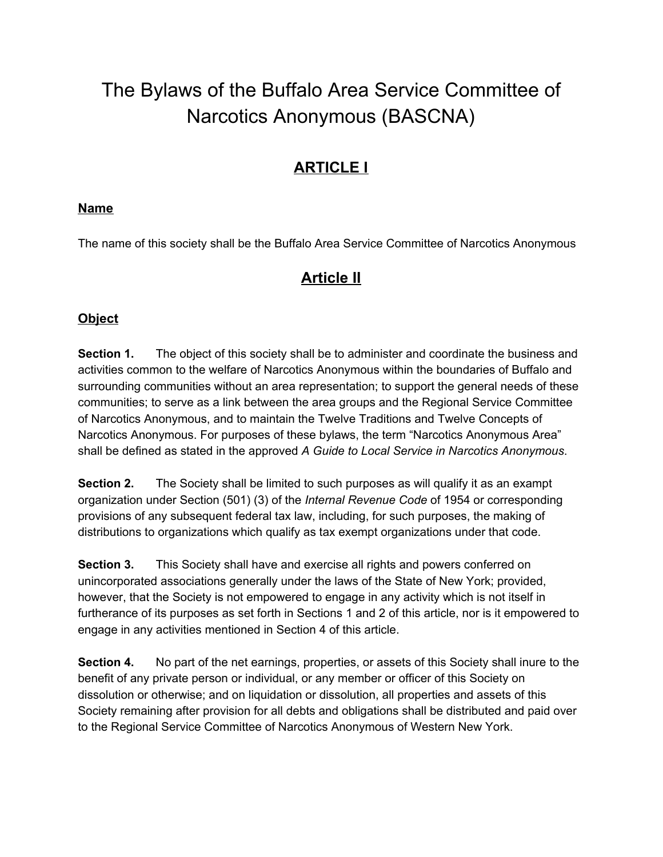# The Bylaws of the Buffalo Area Service Committee of Narcotics Anonymous (BASCNA)

# **ARTICLE I**

#### **Name**

The name of this society shall be the Buffalo Area Service Committee of Narcotics Anonymous

# **Article II**

### **Object**

**Section 1.** The object of this society shall be to administer and coordinate the business and activities common to the welfare of Narcotics Anonymous within the boundaries of Buffalo and surrounding communities without an area representation; to support the general needs of these communities; to serve as a link between the area groups and the Regional Service Committee of Narcotics Anonymous, and to maintain the Twelve Traditions and Twelve Concepts of Narcotics Anonymous. For purposes of these bylaws, the term "Narcotics Anonymous Area" shall be defined as stated in the approved *A Guide to Local Service in Narcotics Anonymous*.

**Section 2.** The Society shall be limited to such purposes as will qualify it as an exampt organization under Section (501) (3) of the *Internal Revenue Code* of 1954 or corresponding provisions of any subsequent federal tax law, including, for such purposes, the making of distributions to organizations which qualify as tax exempt organizations under that code.

**Section 3.** This Society shall have and exercise all rights and powers conferred on unincorporated associations generally under the laws of the State of New York; provided, however, that the Society is not empowered to engage in any activity which is not itself in furtherance of its purposes as set forth in Sections 1 and 2 of this article, nor is it empowered to engage in any activities mentioned in Section 4 of this article.

**Section 4.** No part of the net earnings, properties, or assets of this Society shall inure to the benefit of any private person or individual, or any member or officer of this Society on dissolution or otherwise; and on liquidation or dissolution, all properties and assets of this Society remaining after provision for all debts and obligations shall be distributed and paid over to the Regional Service Committee of Narcotics Anonymous of Western New York.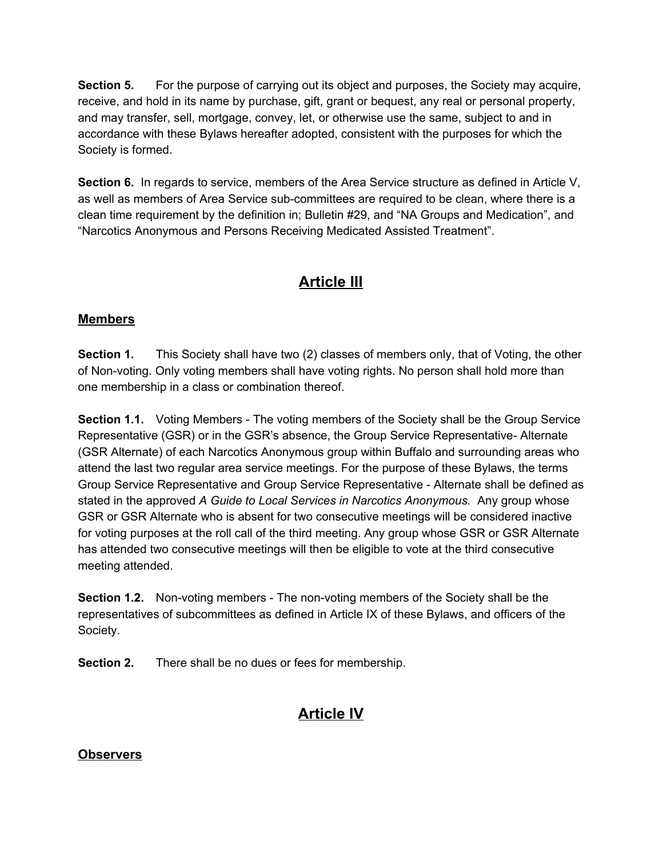**Section 5.** For the purpose of carrying out its object and purposes, the Society may acquire, receive, and hold in its name by purchase, gift, grant or bequest, any real or personal property, and may transfer, sell, mortgage, convey, let, or otherwise use the same, subject to and in accordance with these Bylaws hereafter adopted, consistent with the purposes for which the Society is formed.

**Section 6.** In regards to service, members of the Area Service structure as defined in Article V, as well as members of Area Service sub-committees are required to be clean, where there is a clean time requirement by the definition in; Bulletin #29, and "NA Groups and Medication", and "Narcotics Anonymous and Persons Receiving Medicated Assisted Treatment".

# **Article III**

## **Members**

**Section 1.** This Society shall have two (2) classes of members only, that of Voting, the other of Non-voting. Only voting members shall have voting rights. No person shall hold more than one membership in a class or combination thereof.

**Section 1.1.** Voting Members - The voting members of the Society shall be the Group Service Representative (GSR) or in the GSR's absence, the Group Service Representative- Alternate (GSR Alternate) of each Narcotics Anonymous group within Buffalo and surrounding areas who attend the last two regular area service meetings. For the purpose of these Bylaws, the terms Group Service Representative and Group Service Representative - Alternate shall be defined as stated in the approved *A Guide to Local Services in Narcotics Anonymous.* Any group whose GSR or GSR Alternate who is absent for two consecutive meetings will be considered inactive for voting purposes at the roll call of the third meeting. Any group whose GSR or GSR Alternate has attended two consecutive meetings will then be eligible to vote at the third consecutive meeting attended.

**Section 1.2.** Non-voting members - The non-voting members of the Society shall be the representatives of subcommittees as defined in Article IX of these Bylaws, and officers of the Society.

**Section 2.** There shall be no dues or fees for membership.

# **Article IV**

### **Observers**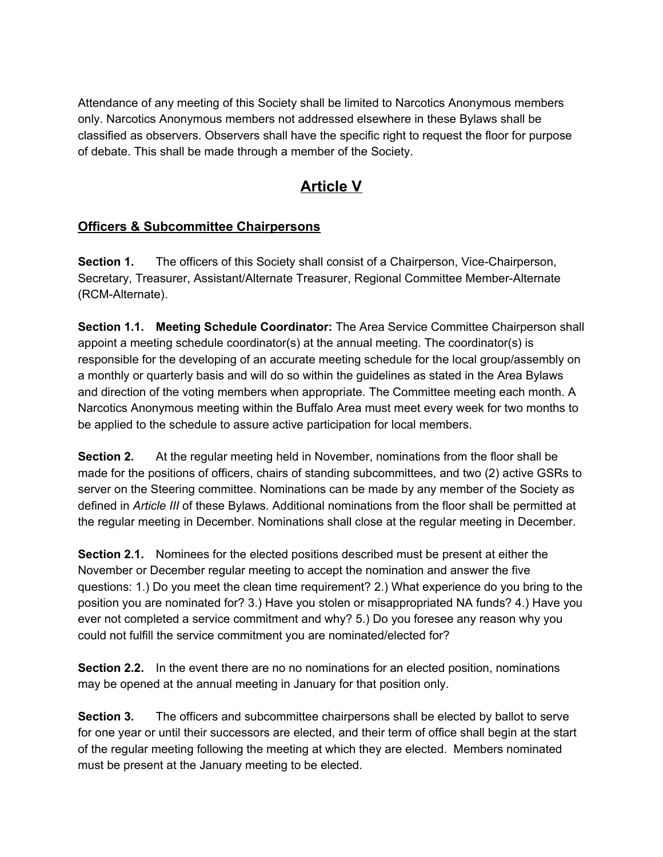Attendance of any meeting of this Society shall be limited to Narcotics Anonymous members only. Narcotics Anonymous members not addressed elsewhere in these Bylaws shall be classified as observers. Observers shall have the specific right to request the floor for purpose of debate. This shall be made through a member of the Society.

# **Article V**

## **Officers & Subcommittee Chairpersons**

**Section 1.** The officers of this Society shall consist of a Chairperson, Vice-Chairperson, Secretary, Treasurer, Assistant/Alternate Treasurer, Regional Committee Member-Alternate (RCM-Alternate).

**Section 1.1. Meeting Schedule Coordinator:** The Area Service Committee Chairperson shall appoint a meeting schedule coordinator(s) at the annual meeting. The coordinator(s) is responsible for the developing of an accurate meeting schedule for the local group/assembly on a monthly or quarterly basis and will do so within the guidelines as stated in the Area Bylaws and direction of the voting members when appropriate. The Committee meeting each month. A Narcotics Anonymous meeting within the Buffalo Area must meet every week for two months to be applied to the schedule to assure active participation for local members.

**Section 2.** At the regular meeting held in November, nominations from the floor shall be made for the positions of officers, chairs of standing subcommittees, and two (2) active GSRs to server on the Steering committee. Nominations can be made by any member of the Society as defined in *Article III* of these Bylaws. Additional nominations from the floor shall be permitted at the regular meeting in December. Nominations shall close at the regular meeting in December.

**Section 2.1.** Nominees for the elected positions described must be present at either the November or December regular meeting to accept the nomination and answer the five questions: 1.) Do you meet the clean time requirement? 2.) What experience do you bring to the position you are nominated for? 3.) Have you stolen or misappropriated NA funds? 4.) Have you ever not completed a service commitment and why? 5.) Do you foresee any reason why you could not fulfill the service commitment you are nominated/elected for?

**Section 2.2.** In the event there are no no nominations for an elected position, nominations may be opened at the annual meeting in January for that position only.

**Section 3.** The officers and subcommittee chairpersons shall be elected by ballot to serve for one year or until their successors are elected, and their term of office shall begin at the start of the regular meeting following the meeting at which they are elected. Members nominated must be present at the January meeting to be elected.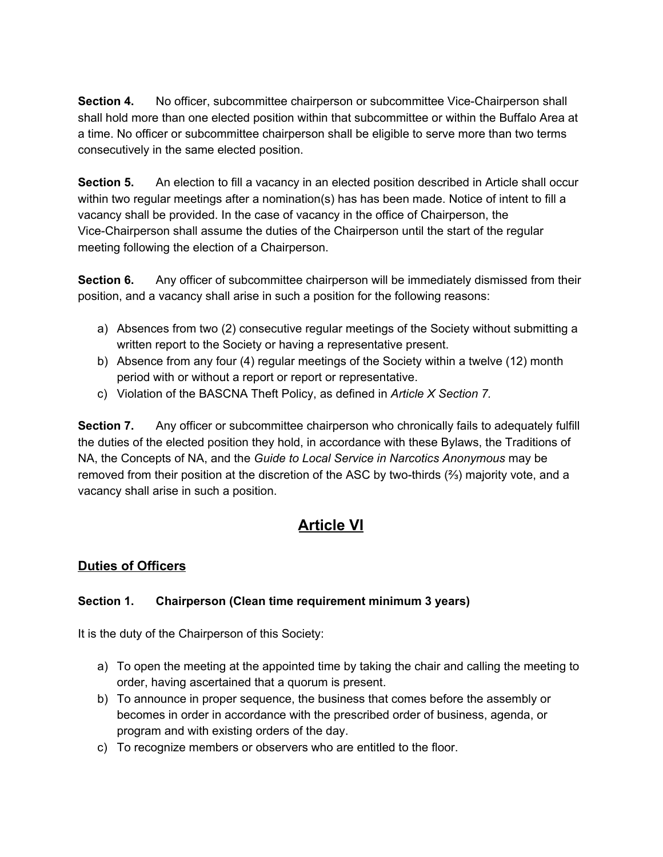**Section 4.** No officer, subcommittee chairperson or subcommittee Vice-Chairperson shall shall hold more than one elected position within that subcommittee or within the Buffalo Area at a time. No officer or subcommittee chairperson shall be eligible to serve more than two terms consecutively in the same elected position.

**Section 5.** An election to fill a vacancy in an elected position described in Article shall occur within two regular meetings after a nomination(s) has has been made. Notice of intent to fill a vacancy shall be provided. In the case of vacancy in the office of Chairperson, the Vice-Chairperson shall assume the duties of the Chairperson until the start of the regular meeting following the election of a Chairperson.

**Section 6.** Any officer of subcommittee chairperson will be immediately dismissed from their position, and a vacancy shall arise in such a position for the following reasons:

- a) Absences from two (2) consecutive regular meetings of the Society without submitting a written report to the Society or having a representative present.
- b) Absence from any four (4) regular meetings of the Society within a twelve (12) month period with or without a report or report or representative.
- c) Violation of the BASCNA Theft Policy, as defined in *Article X Section 7.*

**Section 7.** Any officer or subcommittee chairperson who chronically fails to adequately fulfill the duties of the elected position they hold, in accordance with these Bylaws, the Traditions of NA, the Concepts of NA, and the *Guide to Local Service in Narcotics Anonymous* may be removed from their position at the discretion of the ASC by two-thirds (⅔) majority vote, and a vacancy shall arise in such a position.

# **Article VI**

### **Duties of Officers**

### **Section 1. Chairperson (Clean time requirement minimum 3 years)**

It is the duty of the Chairperson of this Society:

- a) To open the meeting at the appointed time by taking the chair and calling the meeting to order, having ascertained that a quorum is present.
- b) To announce in proper sequence, the business that comes before the assembly or becomes in order in accordance with the prescribed order of business, agenda, or program and with existing orders of the day.
- c) To recognize members or observers who are entitled to the floor.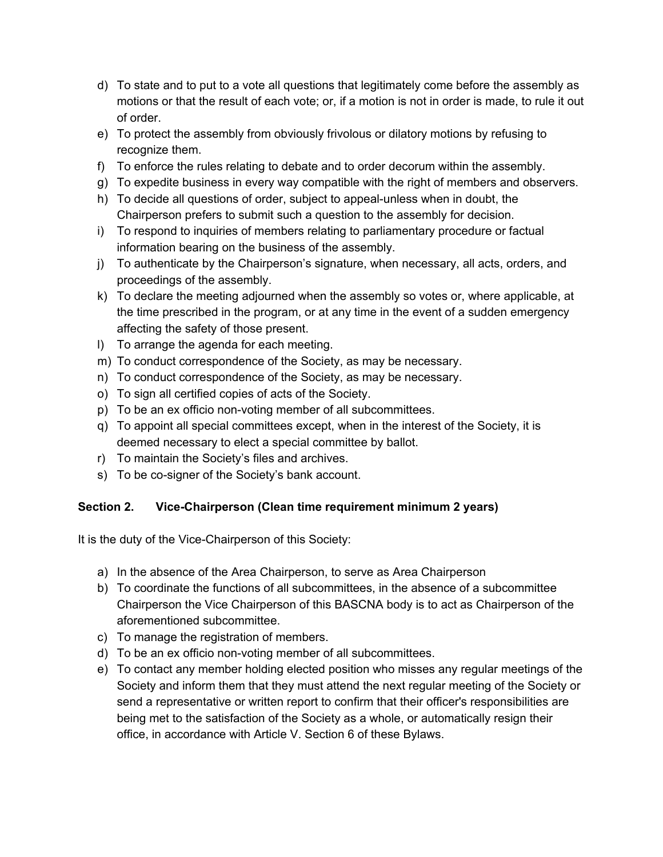- d) To state and to put to a vote all questions that legitimately come before the assembly as motions or that the result of each vote; or, if a motion is not in order is made, to rule it out of order.
- e) To protect the assembly from obviously frivolous or dilatory motions by refusing to recognize them.
- f) To enforce the rules relating to debate and to order decorum within the assembly.
- g) To expedite business in every way compatible with the right of members and observers.
- h) To decide all questions of order, subject to appeal-unless when in doubt, the Chairperson prefers to submit such a question to the assembly for decision.
- i) To respond to inquiries of members relating to parliamentary procedure or factual information bearing on the business of the assembly.
- j) To authenticate by the Chairperson's signature, when necessary, all acts, orders, and proceedings of the assembly.
- k) To declare the meeting adjourned when the assembly so votes or, where applicable, at the time prescribed in the program, or at any time in the event of a sudden emergency affecting the safety of those present.
- l) To arrange the agenda for each meeting.
- m) To conduct correspondence of the Society, as may be necessary.
- n) To conduct correspondence of the Society, as may be necessary.
- o) To sign all certified copies of acts of the Society.
- p) To be an ex officio non-voting member of all subcommittees.
- q) To appoint all special committees except, when in the interest of the Society, it is deemed necessary to elect a special committee by ballot.
- r) To maintain the Society's files and archives.
- s) To be co-signer of the Society's bank account.

#### **Section 2. Vice-Chairperson (Clean time requirement minimum 2 years)**

It is the duty of the Vice-Chairperson of this Society:

- a) In the absence of the Area Chairperson, to serve as Area Chairperson
- b) To coordinate the functions of all subcommittees, in the absence of a subcommittee Chairperson the Vice Chairperson of this BASCNA body is to act as Chairperson of the aforementioned subcommittee.
- c) To manage the registration of members.
- d) To be an ex officio non-voting member of all subcommittees.
- e) To contact any member holding elected position who misses any regular meetings of the Society and inform them that they must attend the next regular meeting of the Society or send a representative or written report to confirm that their officer's responsibilities are being met to the satisfaction of the Society as a whole, or automatically resign their office, in accordance with Article V. Section 6 of these Bylaws.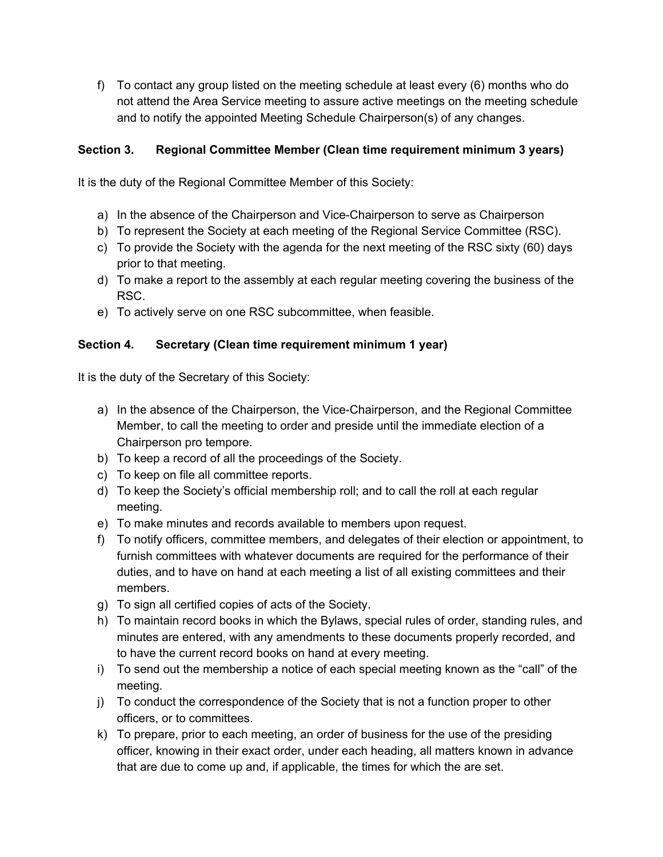f) To contact any group listed on the meeting schedule at least every (6) months who do not attend the Area Service meeting to assure active meetings on the meeting schedule and to notify the appointed Meeting Schedule Chairperson(s) of any changes.

#### **Section 3. Regional Committee Member (Clean time requirement minimum 3 years)**

It is the duty of the Regional Committee Member of this Society:

- a) In the absence of the Chairperson and Vice-Chairperson to serve as Chairperson
- b) To represent the Society at each meeting of the Regional Service Committee (RSC).
- c) To provide the Society with the agenda for the next meeting of the RSC sixty (60) days prior to that meeting.
- d) To make a report to the assembly at each regular meeting covering the business of the RSC.
- e) To actively serve on one RSC subcommittee, when feasible.

#### **Section 4. Secretary (Clean time requirement minimum 1 year)**

It is the duty of the Secretary of this Society:

- a) In the absence of the Chairperson, the Vice-Chairperson, and the Regional Committee Member, to call the meeting to order and preside until the immediate election of a Chairperson pro tempore.
- b) To keep a record of all the proceedings of the Society.
- c) To keep on file all committee reports.
- d) To keep the Society's official membership roll; and to call the roll at each regular meeting.
- e) To make minutes and records available to members upon request.
- f) To notify officers, committee members, and delegates of their election or appointment, to furnish committees with whatever documents are required for the performance of their duties, and to have on hand at each meeting a list of all existing committees and their members.
- g) To sign all certified copies of acts of the Society.
- h) To maintain record books in which the Bylaws, special rules of order, standing rules, and minutes are entered, with any amendments to these documents properly recorded, and to have the current record books on hand at every meeting.
- i) To send out the membership a notice of each special meeting known as the "call" of the meeting.
- j) To conduct the correspondence of the Society that is not a function proper to other officers, or to committees.
- k) To prepare, prior to each meeting, an order of business for the use of the presiding officer, knowing in their exact order, under each heading, all matters known in advance that are due to come up and, if applicable, the times for which the are set.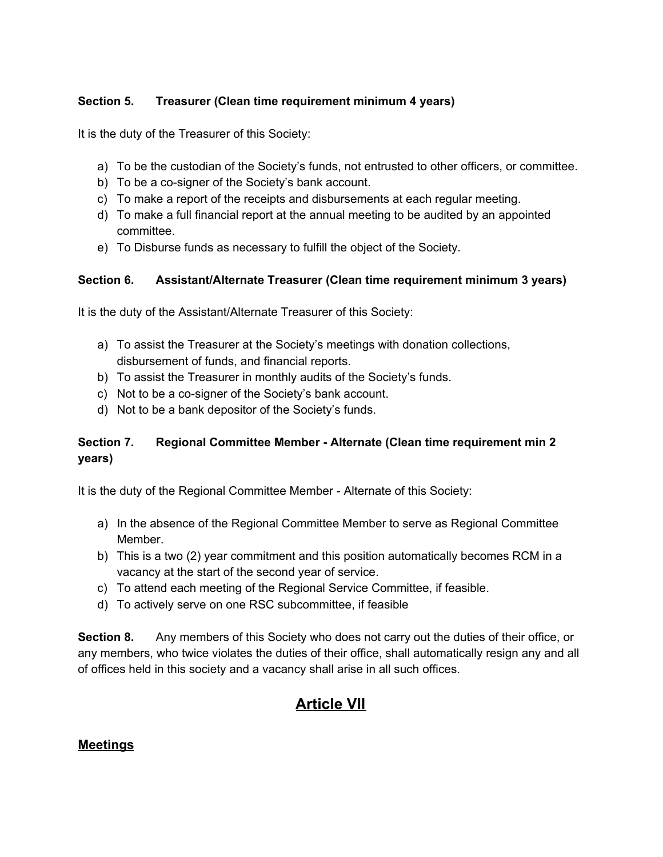#### **Section 5. Treasurer (Clean time requirement minimum 4 years)**

It is the duty of the Treasurer of this Society:

- a) To be the custodian of the Society's funds, not entrusted to other officers, or committee.
- b) To be a co-signer of the Society's bank account.
- c) To make a report of the receipts and disbursements at each regular meeting.
- d) To make a full financial report at the annual meeting to be audited by an appointed committee.
- e) To Disburse funds as necessary to fulfill the object of the Society.

#### **Section 6. Assistant/Alternate Treasurer (Clean time requirement minimum 3 years)**

It is the duty of the Assistant/Alternate Treasurer of this Society:

- a) To assist the Treasurer at the Society's meetings with donation collections, disbursement of funds, and financial reports.
- b) To assist the Treasurer in monthly audits of the Society's funds.
- c) Not to be a co-signer of the Society's bank account.
- d) Not to be a bank depositor of the Society's funds.

### **Section 7. Regional Committee Member - Alternate (Clean time requirement min 2 years)**

It is the duty of the Regional Committee Member - Alternate of this Society:

- a) In the absence of the Regional Committee Member to serve as Regional Committee Member.
- b) This is a two (2) year commitment and this position automatically becomes RCM in a vacancy at the start of the second year of service.
- c) To attend each meeting of the Regional Service Committee, if feasible.
- d) To actively serve on one RSC subcommittee, if feasible

**Section 8.** Any members of this Society who does not carry out the duties of their office, or any members, who twice violates the duties of their office, shall automatically resign any and all of offices held in this society and a vacancy shall arise in all such offices.

# **Article VII**

#### **Meetings**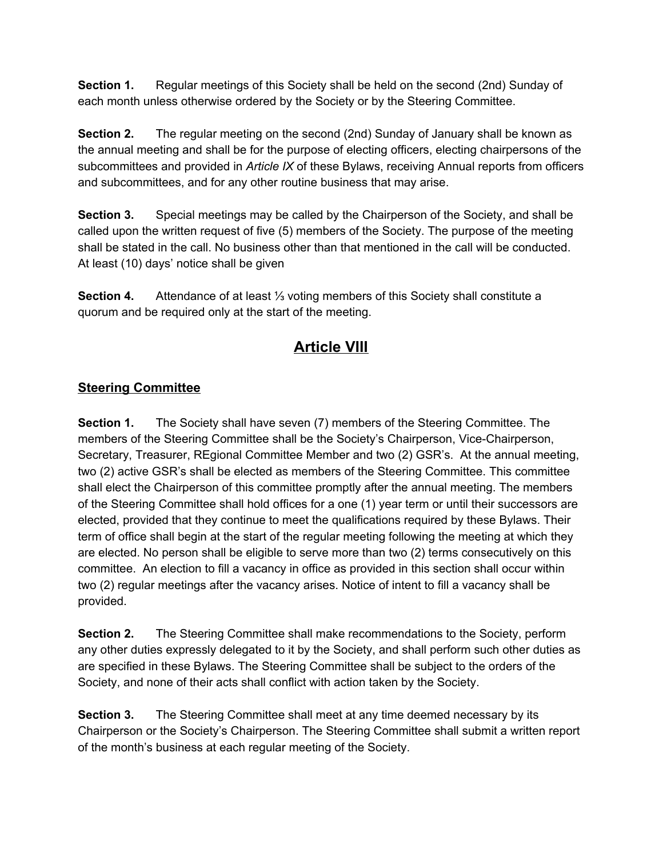**Section 1.** Regular meetings of this Society shall be held on the second (2nd) Sunday of each month unless otherwise ordered by the Society or by the Steering Committee.

**Section 2.** The regular meeting on the second (2nd) Sunday of January shall be known as the annual meeting and shall be for the purpose of electing officers, electing chairpersons of the subcommittees and provided in *Article IX* of these Bylaws, receiving Annual reports from officers and subcommittees, and for any other routine business that may arise.

**Section 3.** Special meetings may be called by the Chairperson of the Society, and shall be called upon the written request of five (5) members of the Society. The purpose of the meeting shall be stated in the call. No business other than that mentioned in the call will be conducted. At least (10) days' notice shall be given

**Section 4.** Attendance of at least ⅓ voting members of this Society shall constitute a quorum and be required only at the start of the meeting.

# **Article VIII**

# **Steering Committee**

**Section 1.** The Society shall have seven (7) members of the Steering Committee. The members of the Steering Committee shall be the Society's Chairperson, Vice-Chairperson, Secretary, Treasurer, REgional Committee Member and two (2) GSR's. At the annual meeting, two (2) active GSR's shall be elected as members of the Steering Committee. This committee shall elect the Chairperson of this committee promptly after the annual meeting. The members of the Steering Committee shall hold offices for a one (1) year term or until their successors are elected, provided that they continue to meet the qualifications required by these Bylaws. Their term of office shall begin at the start of the regular meeting following the meeting at which they are elected. No person shall be eligible to serve more than two (2) terms consecutively on this committee. An election to fill a vacancy in office as provided in this section shall occur within two (2) regular meetings after the vacancy arises. Notice of intent to fill a vacancy shall be provided.

**Section 2.** The Steering Committee shall make recommendations to the Society, perform any other duties expressly delegated to it by the Society, and shall perform such other duties as are specified in these Bylaws. The Steering Committee shall be subject to the orders of the Society, and none of their acts shall conflict with action taken by the Society.

**Section 3.** The Steering Committee shall meet at any time deemed necessary by its Chairperson or the Society's Chairperson. The Steering Committee shall submit a written report of the month's business at each regular meeting of the Society.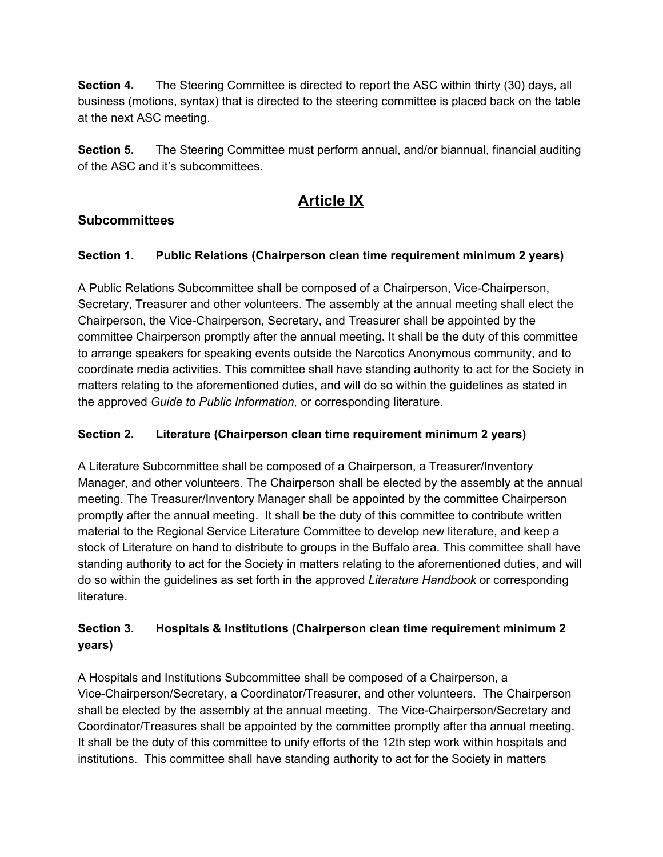**Section 4.** The Steering Committee is directed to report the ASC within thirty (30) days, all business (motions, syntax) that is directed to the steering committee is placed back on the table at the next ASC meeting.

**Section 5.** The Steering Committee must perform annual, and/or biannual, financial auditing of the ASC and it's subcommittees.

# **Article IX**

# **Subcommittees**

## **Section 1. Public Relations (Chairperson clean time requirement minimum 2 years)**

A Public Relations Subcommittee shall be composed of a Chairperson, Vice-Chairperson, Secretary, Treasurer and other volunteers. The assembly at the annual meeting shall elect the Chairperson, the Vice-Chairperson, Secretary, and Treasurer shall be appointed by the committee Chairperson promptly after the annual meeting. It shall be the duty of this committee to arrange speakers for speaking events outside the Narcotics Anonymous community, and to coordinate media activities. This committee shall have standing authority to act for the Society in matters relating to the aforementioned duties, and will do so within the guidelines as stated in the approved *Guide to Public Information,* or corresponding literature.

# **Section 2. Literature (Chairperson clean time requirement minimum 2 years)**

A Literature Subcommittee shall be composed of a Chairperson, a Treasurer/Inventory Manager, and other volunteers. The Chairperson shall be elected by the assembly at the annual meeting. The Treasurer/Inventory Manager shall be appointed by the committee Chairperson promptly after the annual meeting. It shall be the duty of this committee to contribute written material to the Regional Service Literature Committee to develop new literature, and keep a stock of Literature on hand to distribute to groups in the Buffalo area. This committee shall have standing authority to act for the Society in matters relating to the aforementioned duties, and will do so within the guidelines as set forth in the approved *Literature Handbook* or corresponding literature.

## **Section 3. Hospitals & Institutions (Chairperson clean time requirement minimum 2 years)**

A Hospitals and Institutions Subcommittee shall be composed of a Chairperson, a Vice-Chairperson/Secretary, a Coordinator/Treasurer, and other volunteers. The Chairperson shall be elected by the assembly at the annual meeting. The Vice-Chairperson/Secretary and Coordinator/Treasures shall be appointed by the committee promptly after tha annual meeting. It shall be the duty of this committee to unify efforts of the 12th step work within hospitals and institutions. This committee shall have standing authority to act for the Society in matters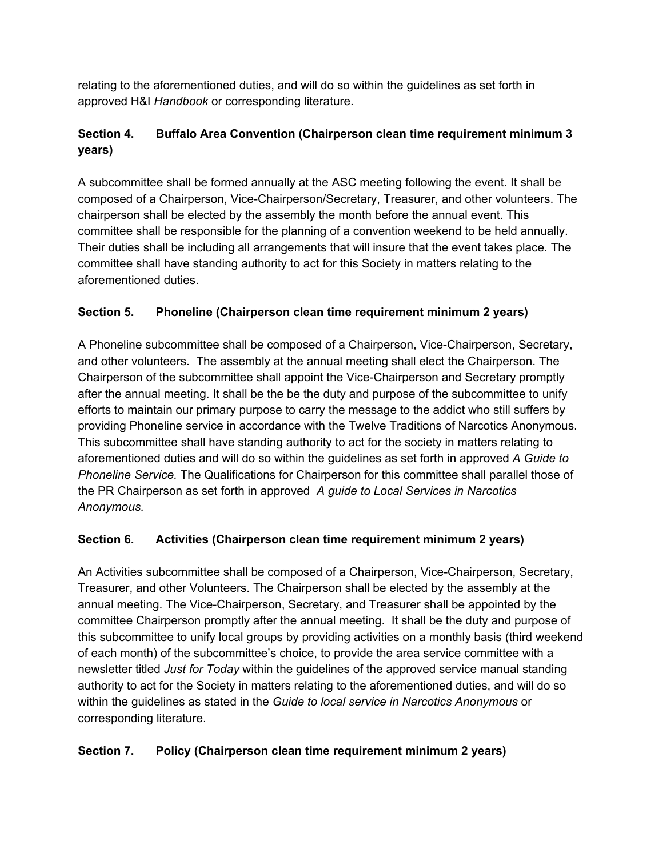relating to the aforementioned duties, and will do so within the guidelines as set forth in approved H&I *Handbook* or corresponding literature.

# **Section 4. Buffalo Area Convention (Chairperson clean time requirement minimum 3 years)**

A subcommittee shall be formed annually at the ASC meeting following the event. It shall be composed of a Chairperson, Vice-Chairperson/Secretary, Treasurer, and other volunteers. The chairperson shall be elected by the assembly the month before the annual event. This committee shall be responsible for the planning of a convention weekend to be held annually. Their duties shall be including all arrangements that will insure that the event takes place. The committee shall have standing authority to act for this Society in matters relating to the aforementioned duties.

# **Section 5. Phoneline (Chairperson clean time requirement minimum 2 years)**

A Phoneline subcommittee shall be composed of a Chairperson, Vice-Chairperson, Secretary, and other volunteers. The assembly at the annual meeting shall elect the Chairperson. The Chairperson of the subcommittee shall appoint the Vice-Chairperson and Secretary promptly after the annual meeting. It shall be the be the duty and purpose of the subcommittee to unify efforts to maintain our primary purpose to carry the message to the addict who still suffers by providing Phoneline service in accordance with the Twelve Traditions of Narcotics Anonymous. This subcommittee shall have standing authority to act for the society in matters relating to aforementioned duties and will do so within the guidelines as set forth in approved *A Guide to Phoneline Service.* The Qualifications for Chairperson for this committee shall parallel those of the PR Chairperson as set forth in approved *A guide to Local Services in Narcotics Anonymous.*

# **Section 6. Activities (Chairperson clean time requirement minimum 2 years)**

An Activities subcommittee shall be composed of a Chairperson, Vice-Chairperson, Secretary, Treasurer, and other Volunteers. The Chairperson shall be elected by the assembly at the annual meeting. The Vice-Chairperson, Secretary, and Treasurer shall be appointed by the committee Chairperson promptly after the annual meeting. It shall be the duty and purpose of this subcommittee to unify local groups by providing activities on a monthly basis (third weekend of each month) of the subcommittee's choice, to provide the area service committee with a newsletter titled *Just for Today* within the guidelines of the approved service manual standing authority to act for the Society in matters relating to the aforementioned duties, and will do so within the guidelines as stated in the *Guide to local service in Narcotics Anonymous* or corresponding literature.

### **Section 7. Policy (Chairperson clean time requirement minimum 2 years)**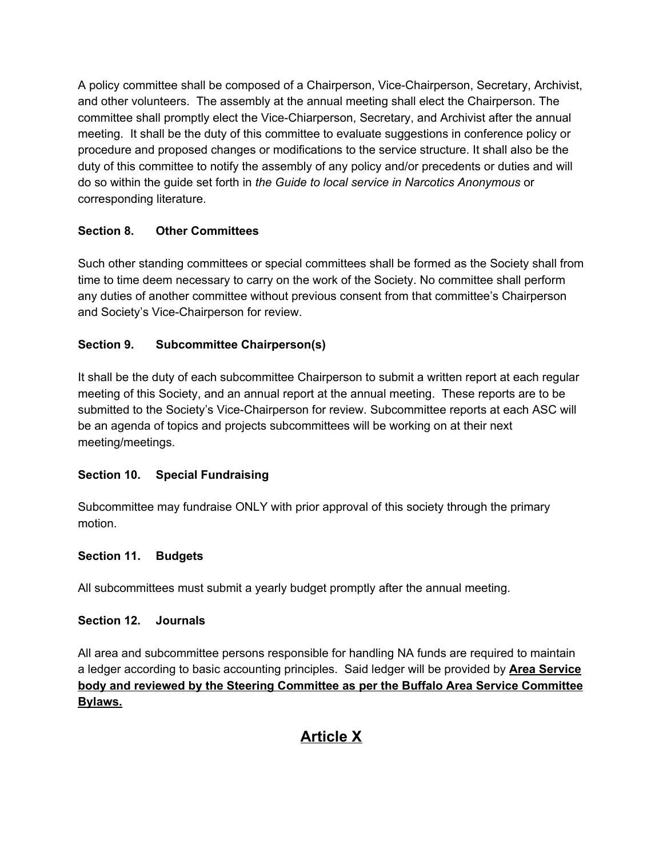A policy committee shall be composed of a Chairperson, Vice-Chairperson, Secretary, Archivist, and other volunteers. The assembly at the annual meeting shall elect the Chairperson. The committee shall promptly elect the Vice-Chiarperson, Secretary, and Archivist after the annual meeting. It shall be the duty of this committee to evaluate suggestions in conference policy or procedure and proposed changes or modifications to the service structure. It shall also be the duty of this committee to notify the assembly of any policy and/or precedents or duties and will do so within the guide set forth in *the Guide to local service in Narcotics Anonymous* or corresponding literature.

## **Section 8. Other Committees**

Such other standing committees or special committees shall be formed as the Society shall from time to time deem necessary to carry on the work of the Society. No committee shall perform any duties of another committee without previous consent from that committee's Chairperson and Society's Vice-Chairperson for review.

### **Section 9. Subcommittee Chairperson(s)**

It shall be the duty of each subcommittee Chairperson to submit a written report at each regular meeting of this Society, and an annual report at the annual meeting. These reports are to be submitted to the Society's Vice-Chairperson for review. Subcommittee reports at each ASC will be an agenda of topics and projects subcommittees will be working on at their next meeting/meetings.

### **Section 10. Special Fundraising**

Subcommittee may fundraise ONLY with prior approval of this society through the primary motion.

#### **Section 11. Budgets**

All subcommittees must submit a yearly budget promptly after the annual meeting.

#### **Section 12. Journals**

All area and subcommittee persons responsible for handling NA funds are required to maintain a ledger according to basic accounting principles. Said ledger will be provided by **Area Service body and reviewed by the Steering Committee as per the Buffalo Area Service Committee Bylaws.**

# **Article X**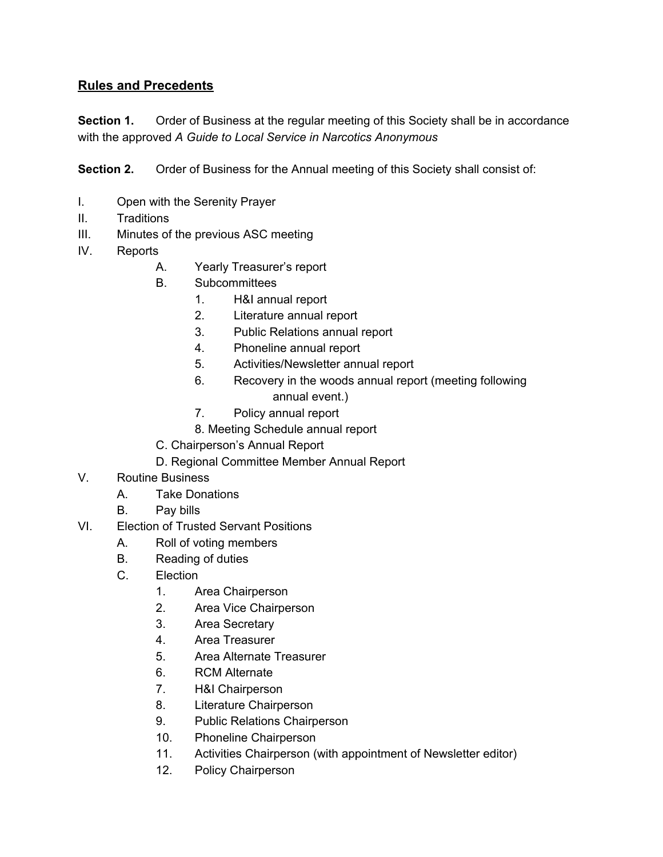# **Rules and Precedents**

**Section 1.** Order of Business at the regular meeting of this Society shall be in accordance with the approved *A Guide to Local Service in Narcotics Anonymous*

**Section 2.** Order of Business for the Annual meeting of this Society shall consist of:

- I. Open with the Serenity Prayer
- II. Traditions
- III. Minutes of the previous ASC meeting
- IV. Reports
	- A. Yearly Treasurer's report
	- B. Subcommittees
		- 1. H&I annual report
		- 2. Literature annual report
		- 3. Public Relations annual report
		- 4. Phoneline annual report
		- 5. Activities/Newsletter annual report
		- 6. Recovery in the woods annual report (meeting following annual event.)
		- 7. Policy annual report
		- 8. Meeting Schedule annual report
	- C. Chairperson's Annual Report
	- D. Regional Committee Member Annual Report
- V. Routine Business
	- A. Take Donations
	- B. Pay bills
- VI. Election of Trusted Servant Positions
	- A. Roll of voting members
	- B. Reading of duties
	- C. Election
		- 1. Area Chairperson
		- 2. Area Vice Chairperson
		- 3. Area Secretary
		- 4. Area Treasurer
		- 5. Area Alternate Treasurer
		- 6. RCM Alternate
		- 7. H&I Chairperson
		- 8. Literature Chairperson
		- 9. Public Relations Chairperson
		- 10. Phoneline Chairperson
		- 11. Activities Chairperson (with appointment of Newsletter editor)
		- 12. Policy Chairperson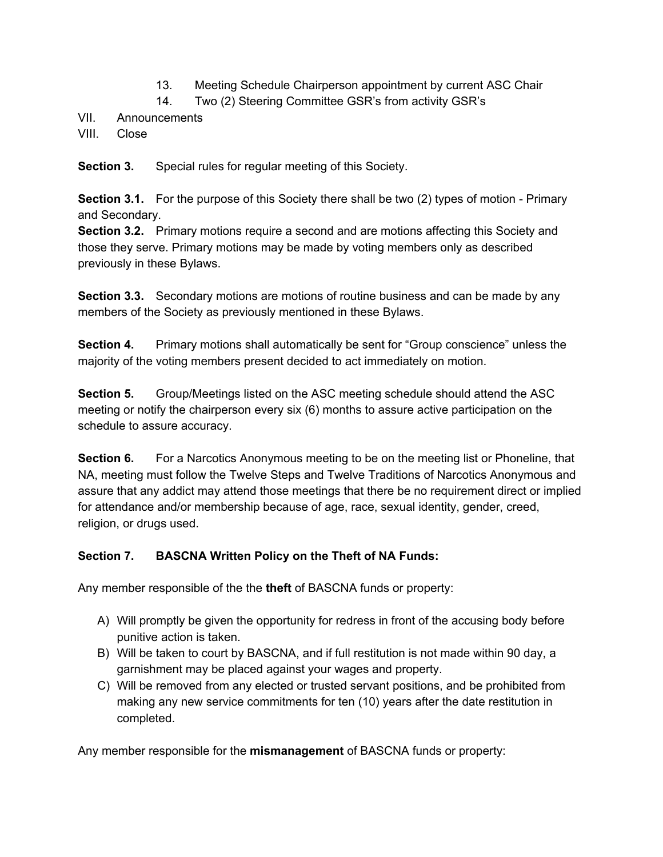- 13. Meeting Schedule Chairperson appointment by current ASC Chair
- 14. Two (2) Steering Committee GSR's from activity GSR's
- VII. Announcements
- VIII. Close

**Section 3.** Special rules for regular meeting of this Society.

**Section 3.1.** For the purpose of this Society there shall be two (2) types of motion - Primary and Secondary.

**Section 3.2.** Primary motions require a second and are motions affecting this Society and those they serve. Primary motions may be made by voting members only as described previously in these Bylaws.

**Section 3.3.** Secondary motions are motions of routine business and can be made by any members of the Society as previously mentioned in these Bylaws.

**Section 4.** Primary motions shall automatically be sent for "Group conscience" unless the majority of the voting members present decided to act immediately on motion.

**Section 5.** Group/Meetings listed on the ASC meeting schedule should attend the ASC meeting or notify the chairperson every six (6) months to assure active participation on the schedule to assure accuracy.

**Section 6.** For a Narcotics Anonymous meeting to be on the meeting list or Phoneline, that NA, meeting must follow the Twelve Steps and Twelve Traditions of Narcotics Anonymous and assure that any addict may attend those meetings that there be no requirement direct or implied for attendance and/or membership because of age, race, sexual identity, gender, creed, religion, or drugs used.

### **Section 7. BASCNA Written Policy on the Theft of NA Funds:**

Any member responsible of the the **theft** of BASCNA funds or property:

- A) Will promptly be given the opportunity for redress in front of the accusing body before punitive action is taken.
- B) Will be taken to court by BASCNA, and if full restitution is not made within 90 day, a garnishment may be placed against your wages and property.
- C) Will be removed from any elected or trusted servant positions, and be prohibited from making any new service commitments for ten (10) years after the date restitution in completed.

Any member responsible for the **mismanagement** of BASCNA funds or property: